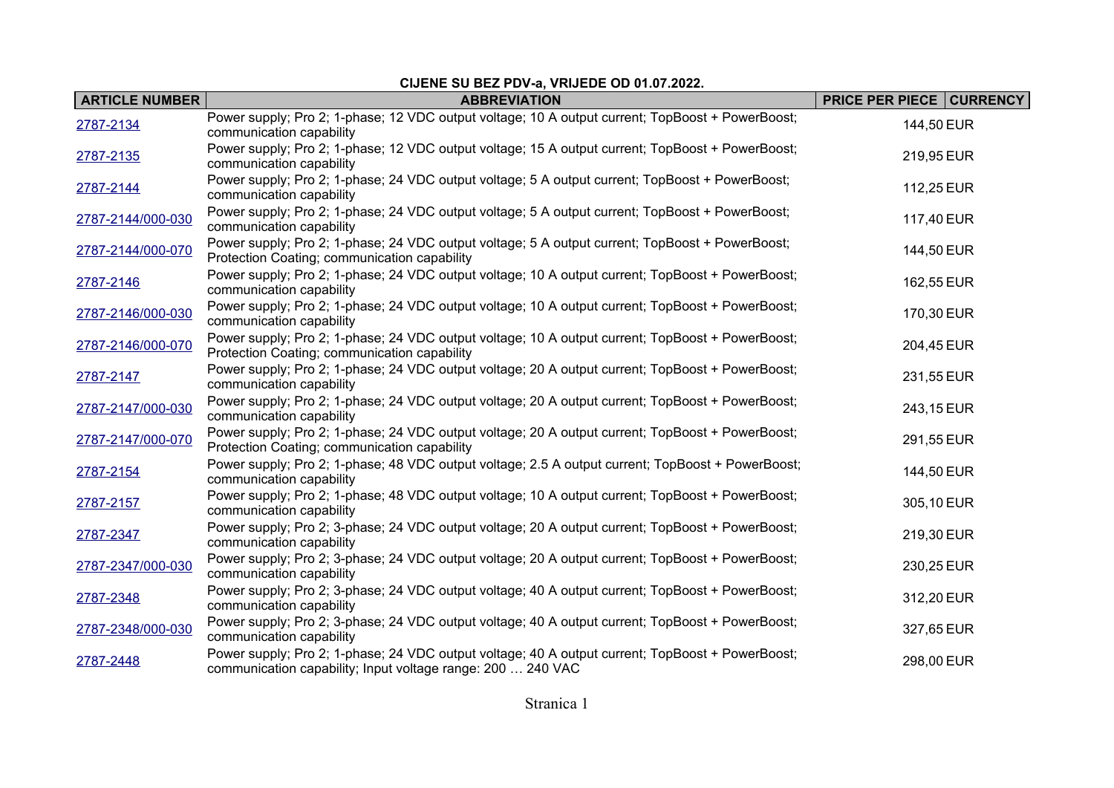## **CIJENE SU BEZ PDV-a, VRIJEDE OD 01.07.2022.**

| <b>ARTICLE NUMBER</b> | <b>ABBREVIATION</b>                                                                                                                                             | <b>PRICE PER PIECE   CURRENCY</b> |
|-----------------------|-----------------------------------------------------------------------------------------------------------------------------------------------------------------|-----------------------------------|
| 2787-2134             | Power supply; Pro 2; 1-phase; 12 VDC output voltage; 10 A output current; TopBoost + PowerBoost;<br>communication capability                                    | 144,50 EUR                        |
| 2787-2135             | Power supply; Pro 2; 1-phase; 12 VDC output voltage; 15 A output current; TopBoost + PowerBoost;<br>communication capability                                    | 219,95 EUR                        |
| 2787-2144             | Power supply; Pro 2; 1-phase; 24 VDC output voltage; 5 A output current; TopBoost + PowerBoost;<br>communication capability                                     | 112,25 EUR                        |
| 2787-2144/000-030     | Power supply; Pro 2; 1-phase; 24 VDC output voltage; 5 A output current; TopBoost + PowerBoost;<br>communication capability                                     | 117,40 EUR                        |
| 2787-2144/000-070     | Power supply; Pro 2; 1-phase; 24 VDC output voltage; 5 A output current; TopBoost + PowerBoost;<br>Protection Coating; communication capability                 | 144,50 EUR                        |
| 2787-2146             | Power supply; Pro 2; 1-phase; 24 VDC output voltage; 10 A output current; TopBoost + PowerBoost;<br>communication capability                                    | 162,55 EUR                        |
| 2787-2146/000-030     | Power supply; Pro 2; 1-phase; 24 VDC output voltage; 10 A output current; TopBoost + PowerBoost;<br>communication capability                                    | 170,30 EUR                        |
| 2787-2146/000-070     | Power supply; Pro 2; 1-phase; 24 VDC output voltage; 10 A output current; TopBoost + PowerBoost;<br>Protection Coating; communication capability                | 204,45 EUR                        |
| 2787-2147             | Power supply; Pro 2; 1-phase; 24 VDC output voltage; 20 A output current; TopBoost + PowerBoost;<br>communication capability                                    | 231,55 EUR                        |
| 2787-2147/000-030     | Power supply; Pro 2; 1-phase; 24 VDC output voltage; 20 A output current; TopBoost + PowerBoost;<br>communication capability                                    | 243,15 EUR                        |
| 2787-2147/000-070     | Power supply; Pro 2; 1-phase; 24 VDC output voltage; 20 A output current; TopBoost + PowerBoost;<br>Protection Coating; communication capability                | 291,55 EUR                        |
| 2787-2154             | Power supply; Pro 2; 1-phase; 48 VDC output voltage; 2.5 A output current; TopBoost + PowerBoost;<br>communication capability                                   | 144,50 EUR                        |
| 2787-2157             | Power supply; Pro 2; 1-phase; 48 VDC output voltage; 10 A output current; TopBoost + PowerBoost;<br>communication capability                                    | 305,10 EUR                        |
| 2787-2347             | Power supply; Pro 2; 3-phase; 24 VDC output voltage; 20 A output current; TopBoost + PowerBoost;<br>communication capability                                    | 219,30 EUR                        |
| 2787-2347/000-030     | Power supply; Pro 2; 3-phase; 24 VDC output voltage; 20 A output current; TopBoost + PowerBoost;<br>communication capability                                    | 230,25 EUR                        |
| 2787-2348             | Power supply; Pro 2; 3-phase; 24 VDC output voltage; 40 A output current; TopBoost + PowerBoost;<br>communication capability                                    | 312,20 EUR                        |
| 2787-2348/000-030     | Power supply; Pro 2; 3-phase; 24 VDC output voltage; 40 A output current; TopBoost + PowerBoost;<br>communication capability                                    | 327,65 EUR                        |
| 2787-2448             | Power supply; Pro 2; 1-phase; 24 VDC output voltage; 40 A output current; TopBoost + PowerBoost;<br>communication capability; Input voltage range: 200  240 VAC | 298,00 EUR                        |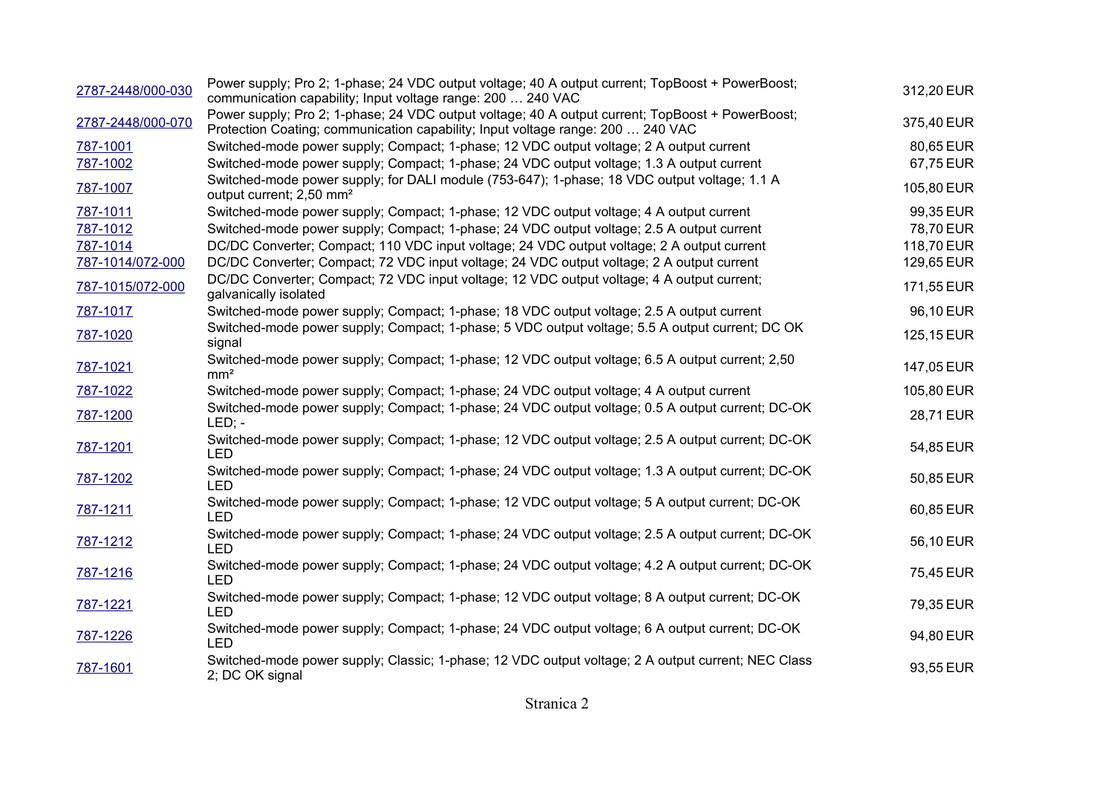| 2787-2448/000-030 | Power supply; Pro 2; 1-phase; 24 VDC output voltage; 40 A output current; TopBoost + PowerBoost;<br>communication capability; Input voltage range: 200  240 VAC                     | 312,20 EUR |
|-------------------|-------------------------------------------------------------------------------------------------------------------------------------------------------------------------------------|------------|
| 2787-2448/000-070 | Power supply; Pro 2; 1-phase; 24 VDC output voltage; 40 A output current; TopBoost + PowerBoost;<br>Protection Coating; communication capability; Input voltage range: 200  240 VAC | 375,40 EUR |
| 787-1001          | Switched-mode power supply; Compact; 1-phase; 12 VDC output voltage; 2 A output current                                                                                             | 80,65 EUR  |
| 787-1002          | Switched-mode power supply; Compact; 1-phase; 24 VDC output voltage; 1.3 A output current                                                                                           | 67,75 EUR  |
| 787-1007          | Switched-mode power supply; for DALI module (753-647); 1-phase; 18 VDC output voltage; 1.1 A<br>output current; 2,50 mm <sup>2</sup>                                                | 105,80 EUR |
| 787-1011          | Switched-mode power supply; Compact; 1-phase; 12 VDC output voltage; 4 A output current                                                                                             | 99,35 EUR  |
| 787-1012          | Switched-mode power supply; Compact; 1-phase; 24 VDC output voltage; 2.5 A output current                                                                                           | 78,70 EUR  |
| 787-1014          | DC/DC Converter; Compact; 110 VDC input voltage; 24 VDC output voltage; 2 A output current                                                                                          | 118,70 EUR |
| 787-1014/072-000  | DC/DC Converter; Compact; 72 VDC input voltage; 24 VDC output voltage; 2 A output current                                                                                           | 129,65 EUR |
| 787-1015/072-000  | DC/DC Converter; Compact; 72 VDC input voltage; 12 VDC output voltage; 4 A output current;<br>galvanically isolated                                                                 | 171,55 EUR |
| 787-1017          | Switched-mode power supply; Compact; 1-phase; 18 VDC output voltage; 2.5 A output current                                                                                           | 96,10 EUR  |
| 787-1020          | Switched-mode power supply; Compact; 1-phase; 5 VDC output voltage; 5.5 A output current; DC OK<br>signal                                                                           | 125,15 EUR |
| 787-1021          | Switched-mode power supply; Compact; 1-phase; 12 VDC output voltage; 6.5 A output current; 2,50<br>mm <sup>2</sup>                                                                  | 147,05 EUR |
| 787-1022          | Switched-mode power supply; Compact; 1-phase; 24 VDC output voltage; 4 A output current                                                                                             | 105,80 EUR |
| 787-1200          | Switched-mode power supply; Compact; 1-phase; 24 VDC output voltage; 0.5 A output current; DC-OK<br>$LED: -$                                                                        | 28,71 EUR  |
| 787-1201          | Switched-mode power supply; Compact; 1-phase; 12 VDC output voltage; 2.5 A output current; DC-OK<br><b>LED</b>                                                                      | 54,85 EUR  |
| 787-1202          | Switched-mode power supply; Compact; 1-phase; 24 VDC output voltage; 1.3 A output current; DC-OK<br><b>LED</b>                                                                      | 50,85 EUR  |
| 787-1211          | Switched-mode power supply; Compact; 1-phase; 12 VDC output voltage; 5 A output current; DC-OK<br><b>LED</b>                                                                        | 60,85 EUR  |
| 787-1212          | Switched-mode power supply; Compact; 1-phase; 24 VDC output voltage; 2.5 A output current; DC-OK<br><b>LED</b>                                                                      | 56,10 EUR  |
| 787-1216          | Switched-mode power supply; Compact; 1-phase; 24 VDC output voltage; 4.2 A output current; DC-OK<br><b>LED</b>                                                                      | 75,45 EUR  |
| 787-1221          | Switched-mode power supply; Compact; 1-phase; 12 VDC output voltage; 8 A output current; DC-OK<br><b>LED</b>                                                                        | 79,35 EUR  |
| 787-1226          | Switched-mode power supply; Compact; 1-phase; 24 VDC output voltage; 6 A output current; DC-OK<br><b>LED</b>                                                                        | 94,80 EUR  |
| 787-1601          | Switched-mode power supply; Classic; 1-phase; 12 VDC output voltage; 2 A output current; NEC Class<br>2; DC OK signal                                                               | 93,55 EUR  |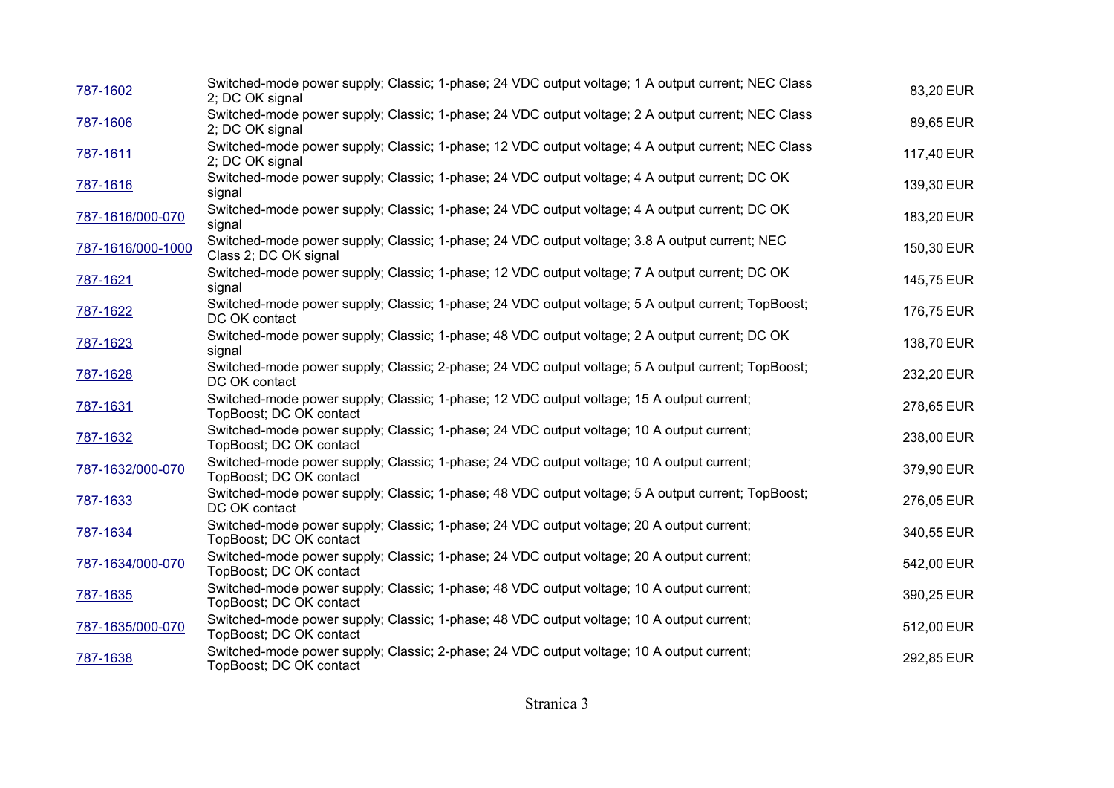| 787-1602          | 2; DC OK signal         | Switched-mode power supply; Classic; 1-phase; 24 VDC output voltage; 1 A output current; NEC Class | 83,20 EUR  |
|-------------------|-------------------------|----------------------------------------------------------------------------------------------------|------------|
| 787-1606          | 2; DC OK signal         | Switched-mode power supply; Classic; 1-phase; 24 VDC output voltage; 2 A output current; NEC Class | 89,65 EUR  |
| 787-1611          | 2; DC OK signal         | Switched-mode power supply; Classic; 1-phase; 12 VDC output voltage; 4 A output current; NEC Class | 117,40 EUR |
| 787-1616          | signal                  | Switched-mode power supply; Classic; 1-phase; 24 VDC output voltage; 4 A output current; DC OK     | 139,30 EUR |
| 787-1616/000-070  | signal                  | Switched-mode power supply; Classic; 1-phase; 24 VDC output voltage; 4 A output current; DC OK     | 183,20 EUR |
| 787-1616/000-1000 | Class 2; DC OK signal   | Switched-mode power supply; Classic; 1-phase; 24 VDC output voltage; 3.8 A output current; NEC     | 150,30 EUR |
| 787-1621          | signal                  | Switched-mode power supply; Classic; 1-phase; 12 VDC output voltage; 7 A output current; DC OK     | 145,75 EUR |
| 787-1622          | DC OK contact           | Switched-mode power supply; Classic; 1-phase; 24 VDC output voltage; 5 A output current; TopBoost; | 176,75 EUR |
| 787-1623          | signal                  | Switched-mode power supply; Classic; 1-phase; 48 VDC output voltage; 2 A output current; DC OK     | 138,70 EUR |
| 787-1628          | DC OK contact           | Switched-mode power supply; Classic; 2-phase; 24 VDC output voltage; 5 A output current; TopBoost; | 232,20 EUR |
| 787-1631          | TopBoost; DC OK contact | Switched-mode power supply; Classic; 1-phase; 12 VDC output voltage; 15 A output current;          | 278,65 EUR |
| 787-1632          | TopBoost; DC OK contact | Switched-mode power supply; Classic; 1-phase; 24 VDC output voltage; 10 A output current;          | 238,00 EUR |
| 787-1632/000-070  | TopBoost; DC OK contact | Switched-mode power supply; Classic; 1-phase; 24 VDC output voltage; 10 A output current;          | 379,90 EUR |
| 787-1633          | DC OK contact           | Switched-mode power supply; Classic; 1-phase; 48 VDC output voltage; 5 A output current; TopBoost; | 276,05 EUR |
| 787-1634          | TopBoost; DC OK contact | Switched-mode power supply; Classic; 1-phase; 24 VDC output voltage; 20 A output current;          | 340,55 EUR |
| 787-1634/000-070  | TopBoost; DC OK contact | Switched-mode power supply; Classic; 1-phase; 24 VDC output voltage; 20 A output current;          | 542,00 EUR |
| 787-1635          | TopBoost; DC OK contact | Switched-mode power supply; Classic; 1-phase; 48 VDC output voltage; 10 A output current;          | 390,25 EUR |
| 787-1635/000-070  | TopBoost; DC OK contact | Switched-mode power supply; Classic; 1-phase; 48 VDC output voltage; 10 A output current;          | 512,00 EUR |
| 787-1638          | TopBoost; DC OK contact | Switched-mode power supply; Classic; 2-phase; 24 VDC output voltage; 10 A output current;          | 292,85 EUR |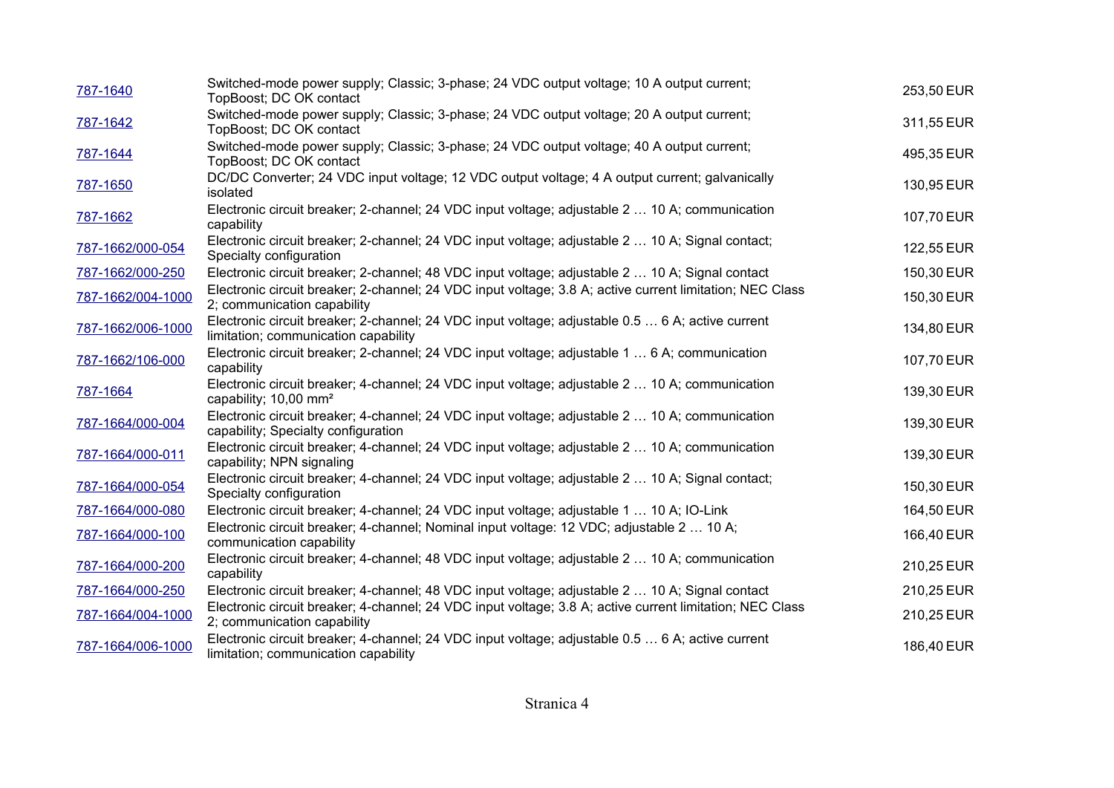| 787-1640          | Switched-mode power supply; Classic; 3-phase; 24 VDC output voltage; 10 A output current;<br>TopBoost; DC OK contact                     | 253,50 EUR |
|-------------------|------------------------------------------------------------------------------------------------------------------------------------------|------------|
| 787-1642          | Switched-mode power supply; Classic; 3-phase; 24 VDC output voltage; 20 A output current;<br>TopBoost; DC OK contact                     | 311,55 EUR |
| 787-1644          | Switched-mode power supply; Classic; 3-phase; 24 VDC output voltage; 40 A output current;<br>TopBoost; DC OK contact                     | 495,35 EUR |
| 787-1650          | DC/DC Converter; 24 VDC input voltage; 12 VDC output voltage; 4 A output current; galvanically<br>isolated                               | 130,95 EUR |
| 787-1662          | Electronic circuit breaker; 2-channel; 24 VDC input voltage; adjustable 2  10 A; communication<br>capability                             | 107,70 EUR |
| 787-1662/000-054  | Electronic circuit breaker; 2-channel; 24 VDC input voltage; adjustable 2  10 A; Signal contact;<br>Specialty configuration              | 122,55 EUR |
| 787-1662/000-250  | Electronic circuit breaker; 2-channel; 48 VDC input voltage; adjustable 2  10 A; Signal contact                                          | 150,30 EUR |
| 787-1662/004-1000 | Electronic circuit breaker; 2-channel; 24 VDC input voltage; 3.8 A; active current limitation; NEC Class<br>2; communication capability  | 150,30 EUR |
| 787-1662/006-1000 | Electronic circuit breaker; 2-channel; 24 VDC input voltage; adjustable 0.5  6 A; active current<br>limitation; communication capability | 134,80 EUR |
| 787-1662/106-000  | Electronic circuit breaker; 2-channel; 24 VDC input voltage; adjustable 1  6 A; communication<br>capability                              | 107,70 EUR |
| 787-1664          | Electronic circuit breaker; 4-channel; 24 VDC input voltage; adjustable 2  10 A; communication<br>capability; 10,00 mm <sup>2</sup>      | 139,30 EUR |
| 787-1664/000-004  | Electronic circuit breaker; 4-channel; 24 VDC input voltage; adjustable 2  10 A; communication<br>capability; Specialty configuration    | 139,30 EUR |
| 787-1664/000-011  | Electronic circuit breaker; 4-channel; 24 VDC input voltage; adjustable 2  10 A; communication<br>capability; NPN signaling              | 139,30 EUR |
| 787-1664/000-054  | Electronic circuit breaker; 4-channel; 24 VDC input voltage; adjustable 2  10 A; Signal contact;<br>Specialty configuration              | 150,30 EUR |
| 787-1664/000-080  | Electronic circuit breaker; 4-channel; 24 VDC input voltage; adjustable 1  10 A; IO-Link                                                 | 164,50 EUR |
| 787-1664/000-100  | Electronic circuit breaker; 4-channel; Nominal input voltage: 12 VDC; adjustable 2  10 A;<br>communication capability                    | 166,40 EUR |
| 787-1664/000-200  | Electronic circuit breaker; 4-channel; 48 VDC input voltage; adjustable 2  10 A; communication<br>capability                             | 210,25 EUR |
| 787-1664/000-250  | Electronic circuit breaker; 4-channel; 48 VDC input voltage; adjustable 2  10 A; Signal contact                                          | 210,25 EUR |
| 787-1664/004-1000 | Electronic circuit breaker; 4-channel; 24 VDC input voltage; 3.8 A; active current limitation; NEC Class<br>2; communication capability  | 210,25 EUR |
| 787-1664/006-1000 | Electronic circuit breaker; 4-channel; 24 VDC input voltage; adjustable 0.5  6 A; active current<br>limitation; communication capability | 186,40 EUR |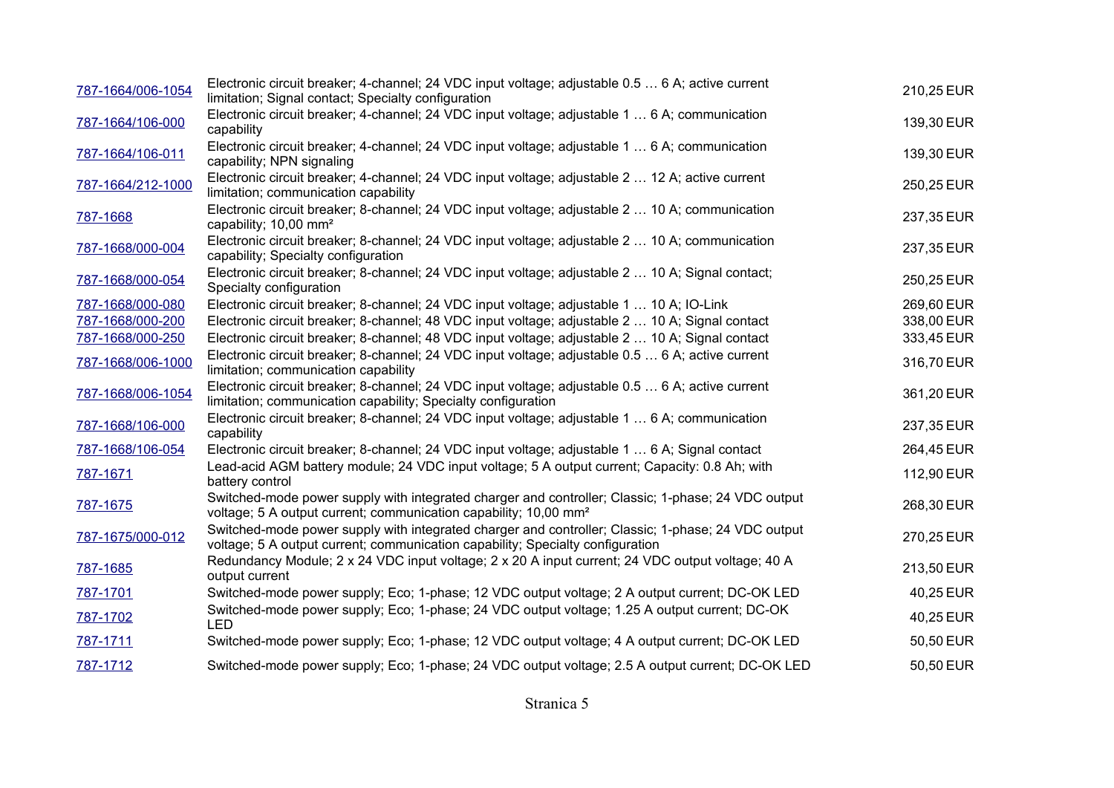| 787-1664/006-1054 | Electronic circuit breaker; 4-channel; 24 VDC input voltage; adjustable 0.5  6 A; active current<br>limitation; Signal contact; Specialty configuration                              | 210,25 EUR |
|-------------------|--------------------------------------------------------------------------------------------------------------------------------------------------------------------------------------|------------|
| 787-1664/106-000  | Electronic circuit breaker; 4-channel; 24 VDC input voltage; adjustable 1  6 A; communication<br>capability                                                                          | 139,30 EUR |
| 787-1664/106-011  | Electronic circuit breaker; 4-channel; 24 VDC input voltage; adjustable 1  6 A; communication<br>capability; NPN signaling                                                           | 139,30 EUR |
| 787-1664/212-1000 | Electronic circuit breaker; 4-channel; 24 VDC input voltage; adjustable 2  12 A; active current<br>limitation; communication capability                                              | 250,25 EUR |
| 787-1668          | Electronic circuit breaker; 8-channel; 24 VDC input voltage; adjustable 2  10 A; communication<br>capability; 10,00 mm <sup>2</sup>                                                  | 237,35 EUR |
| 787-1668/000-004  | Electronic circuit breaker; 8-channel; 24 VDC input voltage; adjustable 2  10 A; communication<br>capability; Specialty configuration                                                | 237,35 EUR |
| 787-1668/000-054  | Electronic circuit breaker; 8-channel; 24 VDC input voltage; adjustable 2  10 A; Signal contact;<br>Specialty configuration                                                          | 250,25 EUR |
| 787-1668/000-080  | Electronic circuit breaker; 8-channel; 24 VDC input voltage; adjustable 1  10 A; IO-Link                                                                                             | 269,60 EUR |
| 787-1668/000-200  | Electronic circuit breaker; 8-channel; 48 VDC input voltage; adjustable 2  10 A; Signal contact                                                                                      | 338,00 EUR |
| 787-1668/000-250  | Electronic circuit breaker; 8-channel; 48 VDC input voltage; adjustable 2  10 A; Signal contact                                                                                      | 333,45 EUR |
| 787-1668/006-1000 | Electronic circuit breaker; 8-channel; 24 VDC input voltage; adjustable 0.5  6 A; active current<br>limitation; communication capability                                             | 316,70 EUR |
| 787-1668/006-1054 | Electronic circuit breaker; 8-channel; 24 VDC input voltage; adjustable 0.5  6 A; active current<br>limitation; communication capability; Specialty configuration                    | 361,20 EUR |
| 787-1668/106-000  | Electronic circuit breaker; 8-channel; 24 VDC input voltage; adjustable 1  6 A; communication<br>capability                                                                          | 237,35 EUR |
| 787-1668/106-054  | Electronic circuit breaker; 8-channel; 24 VDC input voltage; adjustable 1  6 A; Signal contact                                                                                       | 264,45 EUR |
| 787-1671          | Lead-acid AGM battery module; 24 VDC input voltage; 5 A output current; Capacity: 0.8 Ah; with<br>battery control                                                                    | 112,90 EUR |
| 787-1675          | Switched-mode power supply with integrated charger and controller; Classic; 1-phase; 24 VDC output<br>voltage; 5 A output current; communication capability; 10,00 mm <sup>2</sup>   | 268,30 EUR |
| 787-1675/000-012  | Switched-mode power supply with integrated charger and controller; Classic; 1-phase; 24 VDC output<br>voltage; 5 A output current; communication capability; Specialty configuration | 270,25 EUR |
| 787-1685          | Redundancy Module; 2 x 24 VDC input voltage; 2 x 20 A input current; 24 VDC output voltage; 40 A<br>output current                                                                   | 213,50 EUR |
| 787-1701          | Switched-mode power supply; Eco; 1-phase; 12 VDC output voltage; 2 A output current; DC-OK LED                                                                                       | 40,25 EUR  |
| 787-1702          | Switched-mode power supply; Eco; 1-phase; 24 VDC output voltage; 1.25 A output current; DC-OK<br><b>LED</b>                                                                          | 40,25 EUR  |
| 787-1711          | Switched-mode power supply; Eco; 1-phase; 12 VDC output voltage; 4 A output current; DC-OK LED                                                                                       | 50,50 EUR  |
| 787-1712          | Switched-mode power supply; Eco; 1-phase; 24 VDC output voltage; 2.5 A output current; DC-OK LED                                                                                     | 50,50 EUR  |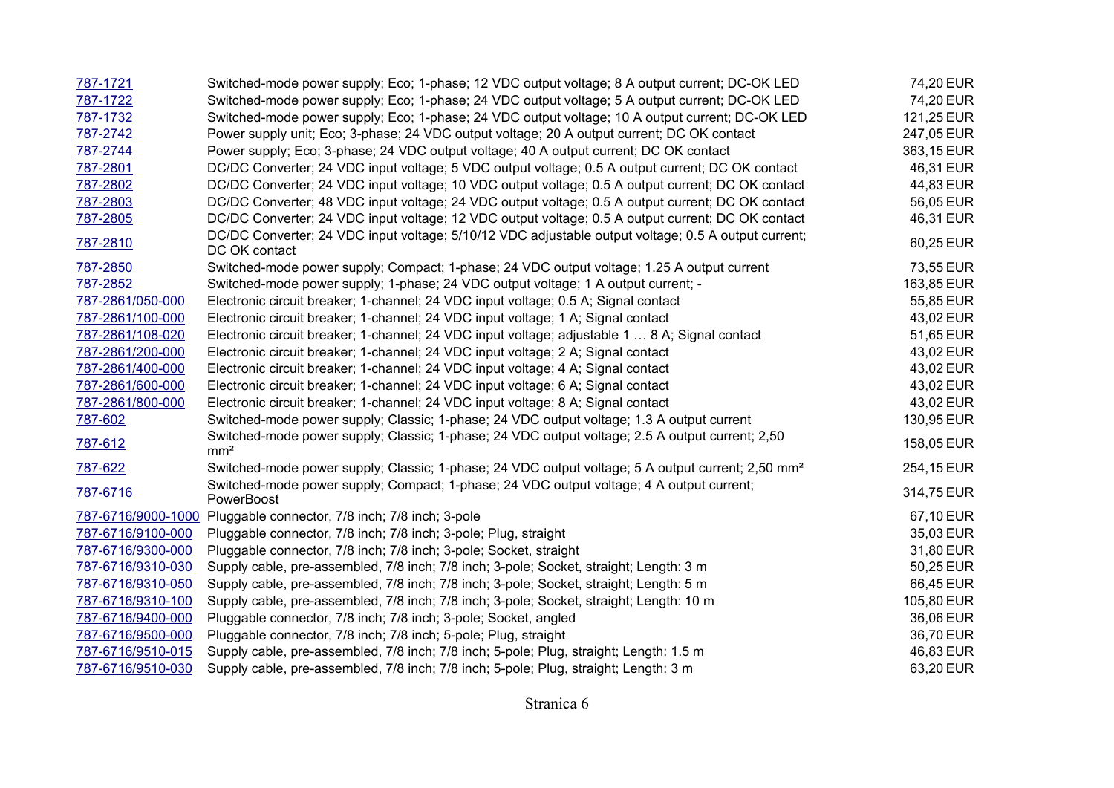| 787-1721          | Switched-mode power supply; Eco; 1-phase; 12 VDC output voltage; 8 A output current; DC-OK LED                       | 74,20 EUR  |
|-------------------|----------------------------------------------------------------------------------------------------------------------|------------|
| 787-1722          | Switched-mode power supply; Eco; 1-phase; 24 VDC output voltage; 5 A output current; DC-OK LED                       | 74,20 EUR  |
| 787-1732          | Switched-mode power supply; Eco; 1-phase; 24 VDC output voltage; 10 A output current; DC-OK LED                      | 121,25 EUR |
| 787-2742          | Power supply unit; Eco; 3-phase; 24 VDC output voltage; 20 A output current; DC OK contact                           | 247,05 EUR |
| 787-2744          | Power supply; Eco; 3-phase; 24 VDC output voltage; 40 A output current; DC OK contact                                | 363,15 EUR |
| 787-2801          | DC/DC Converter; 24 VDC input voltage; 5 VDC output voltage; 0.5 A output current; DC OK contact                     | 46,31 EUR  |
| 787-2802          | DC/DC Converter; 24 VDC input voltage; 10 VDC output voltage; 0.5 A output current; DC OK contact                    | 44,83 EUR  |
| 787-2803          | DC/DC Converter; 48 VDC input voltage; 24 VDC output voltage; 0.5 A output current; DC OK contact                    | 56,05 EUR  |
| 787-2805          | DC/DC Converter; 24 VDC input voltage; 12 VDC output voltage; 0.5 A output current; DC OK contact                    | 46,31 EUR  |
| 787-2810          | DC/DC Converter; 24 VDC input voltage; 5/10/12 VDC adjustable output voltage; 0.5 A output current;<br>DC OK contact | 60,25 EUR  |
| 787-2850          | Switched-mode power supply; Compact; 1-phase; 24 VDC output voltage; 1.25 A output current                           | 73,55 EUR  |
| 787-2852          | Switched-mode power supply; 1-phase; 24 VDC output voltage; 1 A output current; -                                    | 163,85 EUR |
| 787-2861/050-000  | Electronic circuit breaker; 1-channel; 24 VDC input voltage; 0.5 A; Signal contact                                   | 55,85 EUR  |
| 787-2861/100-000  | Electronic circuit breaker; 1-channel; 24 VDC input voltage; 1 A; Signal contact                                     | 43,02 EUR  |
| 787-2861/108-020  | Electronic circuit breaker; 1-channel; 24 VDC input voltage; adjustable 1  8 A; Signal contact                       | 51,65 EUR  |
| 787-2861/200-000  | Electronic circuit breaker; 1-channel; 24 VDC input voltage; 2 A; Signal contact                                     | 43,02 EUR  |
| 787-2861/400-000  | Electronic circuit breaker; 1-channel; 24 VDC input voltage; 4 A; Signal contact                                     | 43,02 EUR  |
| 787-2861/600-000  | Electronic circuit breaker; 1-channel; 24 VDC input voltage; 6 A; Signal contact                                     | 43,02 EUR  |
| 787-2861/800-000  | Electronic circuit breaker; 1-channel; 24 VDC input voltage; 8 A; Signal contact                                     | 43,02 EUR  |
| 787-602           | Switched-mode power supply; Classic; 1-phase; 24 VDC output voltage; 1.3 A output current                            | 130,95 EUR |
| 787-612           | Switched-mode power supply; Classic; 1-phase; 24 VDC output voltage; 2.5 A output current; 2,50<br>mm <sup>2</sup>   | 158,05 EUR |
| 787-622           | Switched-mode power supply; Classic; 1-phase; 24 VDC output voltage; 5 A output current; 2,50 mm <sup>2</sup>        | 254,15 EUR |
| 787-6716          | Switched-mode power supply; Compact; 1-phase; 24 VDC output voltage; 4 A output current;<br>PowerBoost               | 314,75 EUR |
|                   | 787-6716/9000-1000 Pluggable connector, 7/8 inch; 7/8 inch; 3-pole                                                   | 67,10 EUR  |
| 787-6716/9100-000 | Pluggable connector, 7/8 inch; 7/8 inch; 3-pole; Plug, straight                                                      | 35,03 EUR  |
| 787-6716/9300-000 | Pluggable connector, 7/8 inch; 7/8 inch; 3-pole; Socket, straight                                                    | 31,80 EUR  |
| 787-6716/9310-030 | Supply cable, pre-assembled, 7/8 inch; 7/8 inch; 3-pole; Socket, straight; Length: 3 m                               | 50,25 EUR  |
| 787-6716/9310-050 | Supply cable, pre-assembled, 7/8 inch; 7/8 inch; 3-pole; Socket, straight; Length: 5 m                               | 66,45 EUR  |
| 787-6716/9310-100 | Supply cable, pre-assembled, 7/8 inch; 7/8 inch; 3-pole; Socket, straight; Length: 10 m                              | 105,80 EUR |
| 787-6716/9400-000 | Pluggable connector, 7/8 inch; 7/8 inch; 3-pole; Socket, angled                                                      | 36,06 EUR  |
| 787-6716/9500-000 | Pluggable connector, 7/8 inch; 7/8 inch; 5-pole; Plug, straight                                                      | 36,70 EUR  |
| 787-6716/9510-015 | Supply cable, pre-assembled, 7/8 inch; 7/8 inch; 5-pole; Plug, straight; Length: 1.5 m                               | 46,83 EUR  |
| 787-6716/9510-030 | Supply cable, pre-assembled, 7/8 inch; 7/8 inch; 5-pole; Plug, straight; Length: 3 m                                 | 63,20 EUR  |

Stranica 6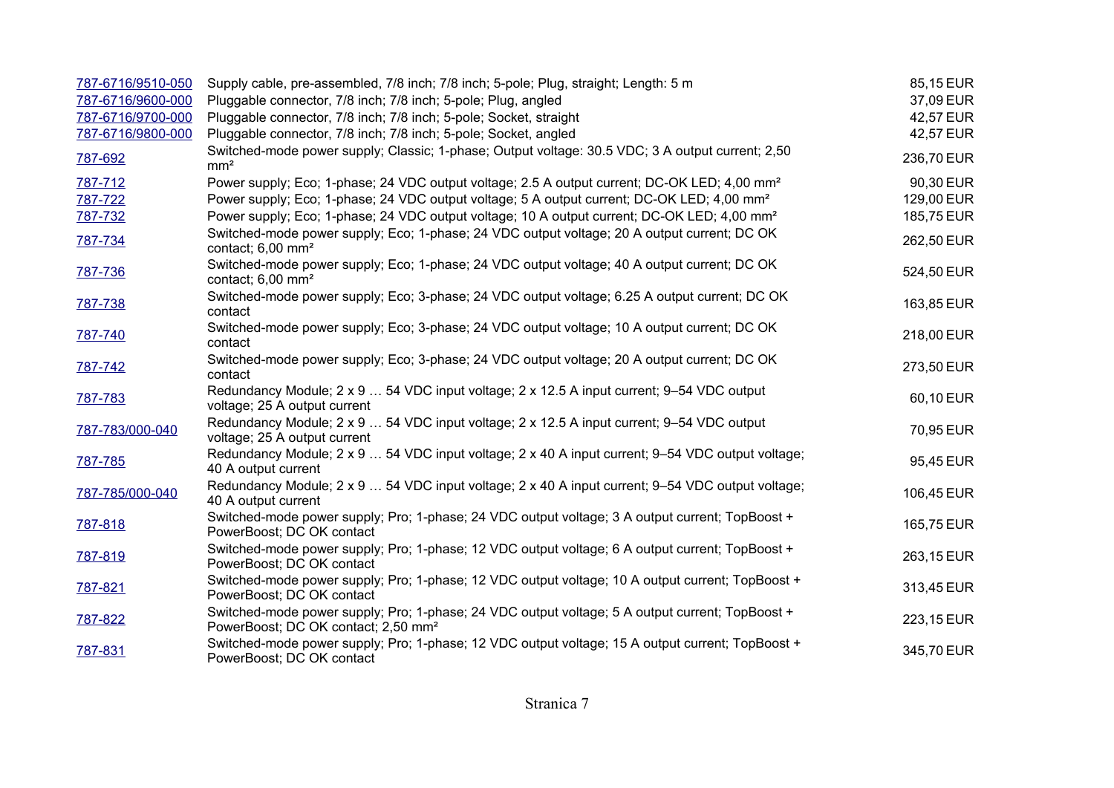| 787-6716/9510-050 | Supply cable, pre-assembled, 7/8 inch; 7/8 inch; 5-pole; Plug, straight; Length: 5 m                                                               | 85,15 EUR  |
|-------------------|----------------------------------------------------------------------------------------------------------------------------------------------------|------------|
| 787-6716/9600-000 | Pluggable connector, 7/8 inch; 7/8 inch; 5-pole; Plug, angled                                                                                      | 37,09 EUR  |
| 787-6716/9700-000 | Pluggable connector, 7/8 inch; 7/8 inch; 5-pole; Socket, straight                                                                                  | 42,57 EUR  |
| 787-6716/9800-000 | Pluggable connector, 7/8 inch; 7/8 inch; 5-pole; Socket, angled                                                                                    | 42,57 EUR  |
| 787-692           | Switched-mode power supply; Classic; 1-phase; Output voltage: 30.5 VDC; 3 A output current; 2,50<br>mm <sup>2</sup>                                | 236,70 EUR |
| 787-712           | Power supply; Eco; 1-phase; 24 VDC output voltage; 2.5 A output current; DC-OK LED; 4,00 mm <sup>2</sup>                                           | 90,30 EUR  |
| 787-722           | Power supply; Eco; 1-phase; 24 VDC output voltage; 5 A output current; DC-OK LED; 4,00 mm <sup>2</sup>                                             | 129,00 EUR |
| 787-732           | Power supply; Eco; 1-phase; 24 VDC output voltage; 10 A output current; DC-OK LED; 4,00 mm <sup>2</sup>                                            | 185,75 EUR |
| 787-734           | Switched-mode power supply; Eco; 1-phase; 24 VDC output voltage; 20 A output current; DC OK<br>contact; $6,00 \text{ mm}^2$                        | 262,50 EUR |
| 787-736           | Switched-mode power supply; Eco; 1-phase; 24 VDC output voltage; 40 A output current; DC OK<br>contact; $6,00 \text{ mm}^2$                        | 524,50 EUR |
| 787-738           | Switched-mode power supply; Eco; 3-phase; 24 VDC output voltage; 6.25 A output current; DC OK<br>contact                                           | 163,85 EUR |
| 787-740           | Switched-mode power supply; Eco; 3-phase; 24 VDC output voltage; 10 A output current; DC OK<br>contact                                             | 218,00 EUR |
| 787-742           | Switched-mode power supply; Eco; 3-phase; 24 VDC output voltage; 20 A output current; DC OK<br>contact                                             | 273,50 EUR |
| 787-783           | Redundancy Module; 2 x 9  54 VDC input voltage; 2 x 12.5 A input current; 9-54 VDC output<br>voltage; 25 A output current                          | 60,10 EUR  |
| 787-783/000-040   | Redundancy Module; 2 x 9  54 VDC input voltage; 2 x 12.5 A input current; 9-54 VDC output<br>voltage; 25 A output current                          | 70,95 EUR  |
| 787-785           | Redundancy Module; 2 x 9  54 VDC input voltage; 2 x 40 A input current; 9-54 VDC output voltage;<br>40 A output current                            | 95,45 EUR  |
| 787-785/000-040   | Redundancy Module; 2 x 9  54 VDC input voltage; 2 x 40 A input current; 9–54 VDC output voltage;<br>40 A output current                            | 106,45 EUR |
| 787-818           | Switched-mode power supply; Pro; 1-phase; 24 VDC output voltage; 3 A output current; TopBoost +<br>PowerBoost; DC OK contact                       | 165,75 EUR |
| 787-819           | Switched-mode power supply; Pro; 1-phase; 12 VDC output voltage; 6 A output current; TopBoost +<br>PowerBoost; DC OK contact                       | 263,15 EUR |
| 787-821           | Switched-mode power supply; Pro; 1-phase; 12 VDC output voltage; 10 A output current; TopBoost +<br>PowerBoost; DC OK contact                      | 313,45 EUR |
| 787-822           | Switched-mode power supply; Pro; 1-phase; 24 VDC output voltage; 5 A output current; TopBoost +<br>PowerBoost; DC OK contact; 2,50 mm <sup>2</sup> | 223,15 EUR |
| 787-831           | Switched-mode power supply; Pro; 1-phase; 12 VDC output voltage; 15 A output current; TopBoost +<br>PowerBoost; DC OK contact                      | 345,70 EUR |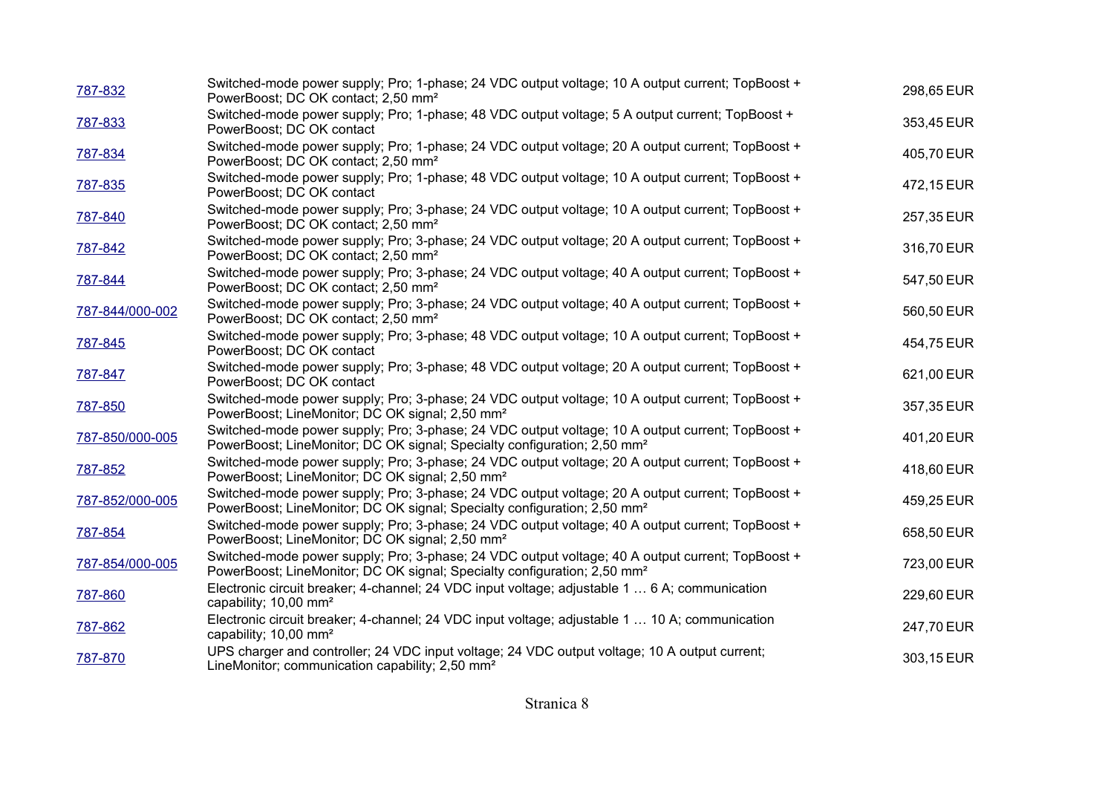| 787-832         | Switched-mode power supply; Pro; 1-phase; 24 VDC output voltage; 10 A output current; TopBoost +<br>PowerBoost; DC OK contact; 2,50 mm <sup>2</sup>                                      | 298,65 EUR |
|-----------------|------------------------------------------------------------------------------------------------------------------------------------------------------------------------------------------|------------|
| 787-833         | Switched-mode power supply; Pro; 1-phase; 48 VDC output voltage; 5 A output current; TopBoost +<br>PowerBoost; DC OK contact                                                             | 353,45 EUR |
| 787-834         | Switched-mode power supply; Pro; 1-phase; 24 VDC output voltage; 20 A output current; TopBoost +<br>PowerBoost; DC OK contact; 2,50 mm <sup>2</sup>                                      | 405,70 EUR |
| 787-835         | Switched-mode power supply; Pro; 1-phase; 48 VDC output voltage; 10 A output current; TopBoost +<br>PowerBoost; DC OK contact                                                            | 472,15 EUR |
| 787-840         | Switched-mode power supply; Pro; 3-phase; 24 VDC output voltage; 10 A output current; TopBoost +<br>PowerBoost; DC OK contact; 2,50 mm <sup>2</sup>                                      | 257,35 EUR |
| 787-842         | Switched-mode power supply; Pro; 3-phase; 24 VDC output voltage; 20 A output current; TopBoost +<br>PowerBoost; DC OK contact; 2,50 mm <sup>2</sup>                                      | 316,70 EUR |
| 787-844         | Switched-mode power supply; Pro; 3-phase; 24 VDC output voltage; 40 A output current; TopBoost +<br>PowerBoost; DC OK contact; 2,50 mm <sup>2</sup>                                      | 547,50 EUR |
| 787-844/000-002 | Switched-mode power supply; Pro; 3-phase; 24 VDC output voltage; 40 A output current; TopBoost +<br>PowerBoost; DC OK contact; 2,50 mm <sup>2</sup>                                      | 560,50 EUR |
| 787-845         | Switched-mode power supply; Pro; 3-phase; 48 VDC output voltage; 10 A output current; TopBoost +<br>PowerBoost; DC OK contact                                                            | 454,75 EUR |
| 787-847         | Switched-mode power supply; Pro; 3-phase; 48 VDC output voltage; 20 A output current; TopBoost +<br>PowerBoost; DC OK contact                                                            | 621,00 EUR |
| 787-850         | Switched-mode power supply; Pro; 3-phase; 24 VDC output voltage; 10 A output current; TopBoost +<br>PowerBoost; LineMonitor; DC OK signal; 2,50 mm <sup>2</sup>                          | 357,35 EUR |
| 787-850/000-005 | Switched-mode power supply; Pro; 3-phase; 24 VDC output voltage; 10 A output current; TopBoost +<br>PowerBoost; LineMonitor; DC OK signal; Specialty configuration; 2,50 mm <sup>2</sup> | 401,20 EUR |
| 787-852         | Switched-mode power supply; Pro; 3-phase; 24 VDC output voltage; 20 A output current; TopBoost +<br>PowerBoost; LineMonitor; DC OK signal; 2,50 mm <sup>2</sup>                          | 418,60 EUR |
| 787-852/000-005 | Switched-mode power supply; Pro; 3-phase; 24 VDC output voltage; 20 A output current; TopBoost +<br>PowerBoost; LineMonitor; DC OK signal; Specialty configuration; 2,50 mm <sup>2</sup> | 459,25 EUR |
| 787-854         | Switched-mode power supply; Pro; 3-phase; 24 VDC output voltage; 40 A output current; TopBoost +<br>PowerBoost; LineMonitor; DC OK signal; 2,50 mm <sup>2</sup>                          | 658,50 EUR |
| 787-854/000-005 | Switched-mode power supply; Pro; 3-phase; 24 VDC output voltage; 40 A output current; TopBoost +<br>PowerBoost; LineMonitor; DC OK signal; Specialty configuration; 2,50 mm <sup>2</sup> | 723,00 EUR |
| 787-860         | Electronic circuit breaker; 4-channel; 24 VDC input voltage; adjustable 1  6 A; communication<br>capability; 10,00 mm <sup>2</sup>                                                       | 229,60 EUR |
| 787-862         | Electronic circuit breaker; 4-channel; 24 VDC input voltage; adjustable 1  10 A; communication<br>capability; 10,00 mm <sup>2</sup>                                                      | 247,70 EUR |
| 787-870         | UPS charger and controller; 24 VDC input voltage; 24 VDC output voltage; 10 A output current;<br>LineMonitor; communication capability; 2,50 mm <sup>2</sup>                             | 303,15 EUR |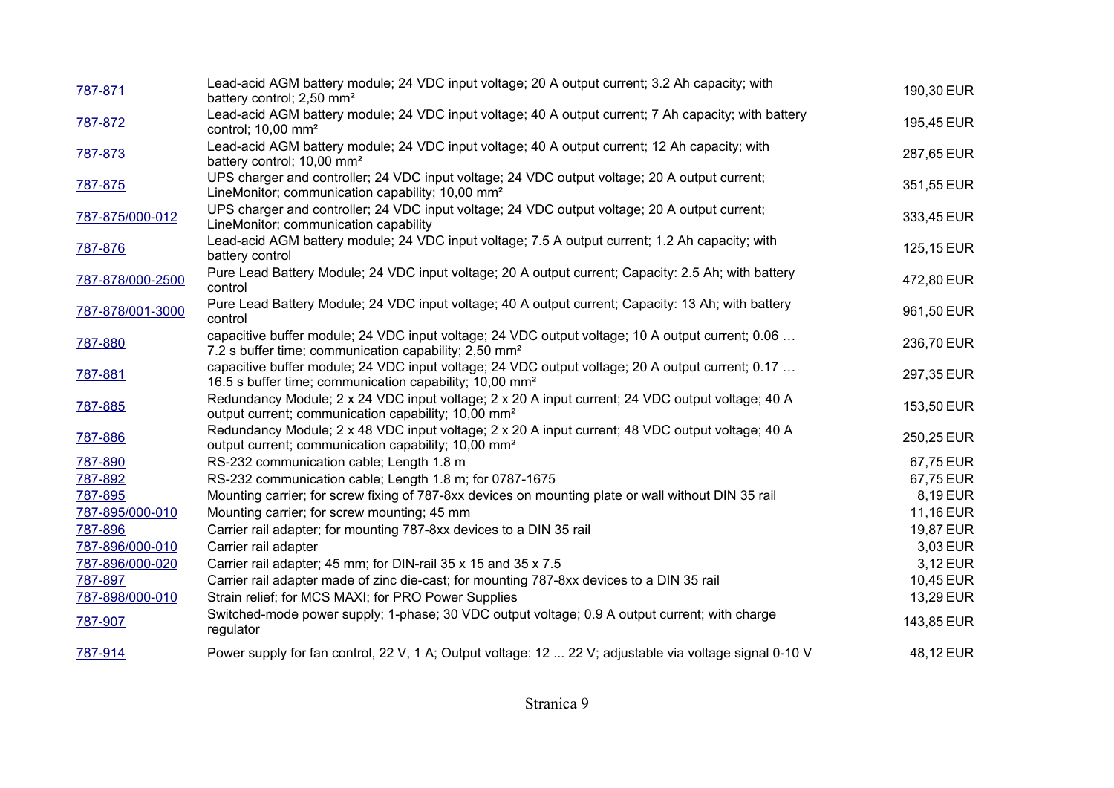| 787-871          | Lead-acid AGM battery module; 24 VDC input voltage; 20 A output current; 3.2 Ah capacity; with<br>battery control; 2,50 mm <sup>2</sup>                                 | 190,30 EUR |
|------------------|-------------------------------------------------------------------------------------------------------------------------------------------------------------------------|------------|
| 787-872          | Lead-acid AGM battery module; 24 VDC input voltage; 40 A output current; 7 Ah capacity; with battery<br>control; 10,00 mm <sup>2</sup>                                  | 195,45 EUR |
| 787-873          | Lead-acid AGM battery module; 24 VDC input voltage; 40 A output current; 12 Ah capacity; with<br>battery control; 10,00 mm <sup>2</sup>                                 | 287,65 EUR |
| 787-875          | UPS charger and controller; 24 VDC input voltage; 24 VDC output voltage; 20 A output current;<br>LineMonitor; communication capability; 10,00 mm <sup>2</sup>           | 351,55 EUR |
| 787-875/000-012  | UPS charger and controller; 24 VDC input voltage; 24 VDC output voltage; 20 A output current;<br>LineMonitor; communication capability                                  | 333,45 EUR |
| 787-876          | Lead-acid AGM battery module; 24 VDC input voltage; 7.5 A output current; 1.2 Ah capacity; with<br>battery control                                                      | 125,15 EUR |
| 787-878/000-2500 | Pure Lead Battery Module; 24 VDC input voltage; 20 A output current; Capacity: 2.5 Ah; with battery<br>control                                                          | 472,80 EUR |
| 787-878/001-3000 | Pure Lead Battery Module; 24 VDC input voltage; 40 A output current; Capacity: 13 Ah; with battery<br>control                                                           | 961,50 EUR |
| 787-880          | capacitive buffer module; 24 VDC input voltage; 24 VDC output voltage; 10 A output current; 0.06<br>7.2 s buffer time; communication capability; 2,50 mm <sup>2</sup>   | 236,70 EUR |
| 787-881          | capacitive buffer module; 24 VDC input voltage; 24 VDC output voltage; 20 A output current; 0.17<br>16.5 s buffer time; communication capability; 10,00 mm <sup>2</sup> | 297,35 EUR |
| 787-885          | Redundancy Module; 2 x 24 VDC input voltage; 2 x 20 A input current; 24 VDC output voltage; 40 A<br>output current; communication capability; 10,00 mm <sup>2</sup>     | 153,50 EUR |
| 787-886          | Redundancy Module; 2 x 48 VDC input voltage; 2 x 20 A input current; 48 VDC output voltage; 40 A<br>output current; communication capability; 10,00 mm <sup>2</sup>     | 250,25 EUR |
| 787-890          | RS-232 communication cable; Length 1.8 m                                                                                                                                | 67,75 EUR  |
| 787-892          | RS-232 communication cable; Length 1.8 m; for 0787-1675                                                                                                                 | 67,75 EUR  |
| 787-895          | Mounting carrier; for screw fixing of 787-8xx devices on mounting plate or wall without DIN 35 rail                                                                     | 8,19 EUR   |
| 787-895/000-010  | Mounting carrier; for screw mounting; 45 mm                                                                                                                             | 11,16 EUR  |
| 787-896          | Carrier rail adapter; for mounting 787-8xx devices to a DIN 35 rail                                                                                                     | 19,87 EUR  |
| 787-896/000-010  | Carrier rail adapter                                                                                                                                                    | 3,03 EUR   |
| 787-896/000-020  | Carrier rail adapter; 45 mm; for DIN-rail 35 x 15 and 35 x 7.5                                                                                                          | 3,12 EUR   |
| 787-897          | Carrier rail adapter made of zinc die-cast; for mounting 787-8xx devices to a DIN 35 rail                                                                               | 10,45 EUR  |
| 787-898/000-010  | Strain relief; for MCS MAXI; for PRO Power Supplies                                                                                                                     | 13,29 EUR  |
| 787-907          | Switched-mode power supply; 1-phase; 30 VDC output voltage; 0.9 A output current; with charge<br>regulator                                                              | 143,85 EUR |
| 787-914          | Power supply for fan control, 22 V, 1 A; Output voltage: 12  22 V; adjustable via voltage signal 0-10 V                                                                 | 48,12 EUR  |